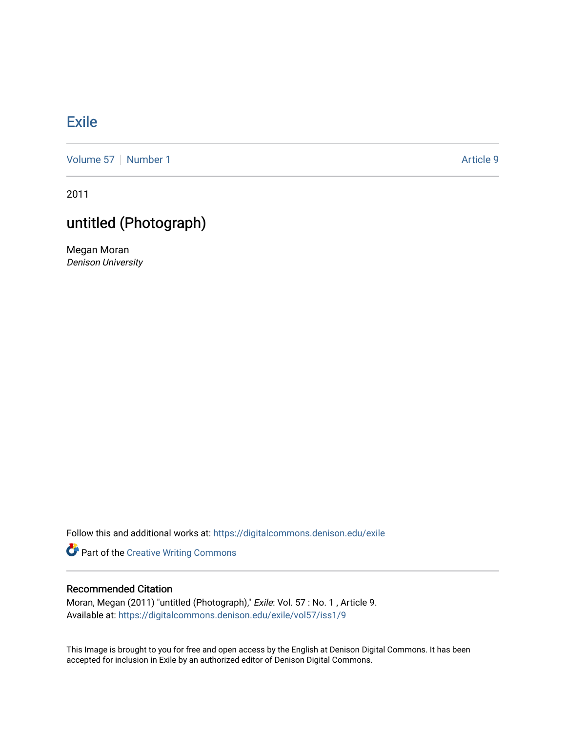## **[Exile](https://digitalcommons.denison.edu/exile)**

[Volume 57](https://digitalcommons.denison.edu/exile/vol57) | [Number 1](https://digitalcommons.denison.edu/exile/vol57/iss1) Article 9

2011

## untitled (Photograph)

Megan Moran Denison University

Follow this and additional works at: [https://digitalcommons.denison.edu/exile](https://digitalcommons.denison.edu/exile?utm_source=digitalcommons.denison.edu%2Fexile%2Fvol57%2Fiss1%2F9&utm_medium=PDF&utm_campaign=PDFCoverPages) 

Part of the [Creative Writing Commons](http://network.bepress.com/hgg/discipline/574?utm_source=digitalcommons.denison.edu%2Fexile%2Fvol57%2Fiss1%2F9&utm_medium=PDF&utm_campaign=PDFCoverPages) 

## Recommended Citation

Moran, Megan (2011) "untitled (Photograph)," Exile: Vol. 57 : No. 1 , Article 9. Available at: [https://digitalcommons.denison.edu/exile/vol57/iss1/9](https://digitalcommons.denison.edu/exile/vol57/iss1/9?utm_source=digitalcommons.denison.edu%2Fexile%2Fvol57%2Fiss1%2F9&utm_medium=PDF&utm_campaign=PDFCoverPages) 

This Image is brought to you for free and open access by the English at Denison Digital Commons. It has been accepted for inclusion in Exile by an authorized editor of Denison Digital Commons.